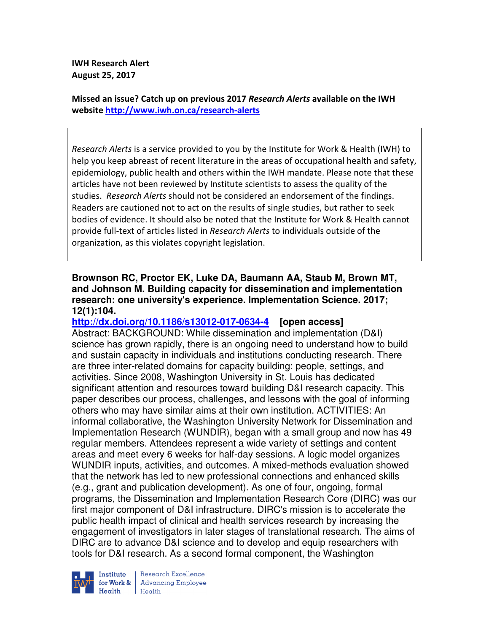**IWH Research Alert August 25, 2017** 

**Missed an issue? Catch up on previous 2017** *Research Alerts* **available on the IWH website http://www.iwh.on.ca/research-alerts**

*Research Alerts* is a service provided to you by the Institute for Work & Health (IWH) to help you keep abreast of recent literature in the areas of occupational health and safety, epidemiology, public health and others within the IWH mandate. Please note that these articles have not been reviewed by Institute scientists to assess the quality of the studies. *Research Alerts* should not be considered an endorsement of the findings. Readers are cautioned not to act on the results of single studies, but rather to seek bodies of evidence. It should also be noted that the Institute for Work & Health cannot provide full-text of articles listed in *Research Alerts* to individuals outside of the organization, as this violates copyright legislation.

### **Brownson RC, Proctor EK, Luke DA, Baumann AA, Staub M, Brown MT, and Johnson M. Building capacity for dissemination and implementation research: one university's experience. Implementation Science. 2017; 12(1):104.**

**http://dx.doi.org/10.1186/s13012-017-0634-4 [open access]** Abstract: BACKGROUND: While dissemination and implementation (D&I) science has grown rapidly, there is an ongoing need to understand how to build and sustain capacity in individuals and institutions conducting research. There are three inter-related domains for capacity building: people, settings, and activities. Since 2008, Washington University in St. Louis has dedicated significant attention and resources toward building D&I research capacity. This paper describes our process, challenges, and lessons with the goal of informing others who may have similar aims at their own institution. ACTIVITIES: An informal collaborative, the Washington University Network for Dissemination and Implementation Research (WUNDIR), began with a small group and now has 49 regular members. Attendees represent a wide variety of settings and content areas and meet every 6 weeks for half-day sessions. A logic model organizes WUNDIR inputs, activities, and outcomes. A mixed-methods evaluation showed that the network has led to new professional connections and enhanced skills (e.g., grant and publication development). As one of four, ongoing, formal programs, the Dissemination and Implementation Research Core (DIRC) was our first major component of D&I infrastructure. DIRC's mission is to accelerate the public health impact of clinical and health services research by increasing the engagement of investigators in later stages of translational research. The aims of DIRC are to advance D&I science and to develop and equip researchers with tools for D&I research. As a second formal component, the Washington

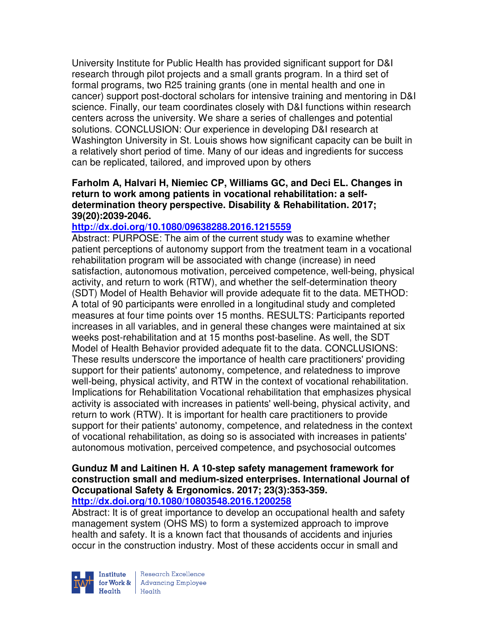University Institute for Public Health has provided significant support for D&I research through pilot projects and a small grants program. In a third set of formal programs, two R25 training grants (one in mental health and one in cancer) support post-doctoral scholars for intensive training and mentoring in D&I science. Finally, our team coordinates closely with D&I functions within research centers across the university. We share a series of challenges and potential solutions. CONCLUSION: Our experience in developing D&I research at Washington University in St. Louis shows how significant capacity can be built in a relatively short period of time. Many of our ideas and ingredients for success can be replicated, tailored, and improved upon by others

## **Farholm A, Halvari H, Niemiec CP, Williams GC, and Deci EL. Changes in return to work among patients in vocational rehabilitation: a selfdetermination theory perspective. Disability & Rehabilitation. 2017; 39(20):2039-2046.**

### **http://dx.doi.org/10.1080/09638288.2016.1215559**

Abstract: PURPOSE: The aim of the current study was to examine whether patient perceptions of autonomy support from the treatment team in a vocational rehabilitation program will be associated with change (increase) in need satisfaction, autonomous motivation, perceived competence, well-being, physical activity, and return to work (RTW), and whether the self-determination theory (SDT) Model of Health Behavior will provide adequate fit to the data. METHOD: A total of 90 participants were enrolled in a longitudinal study and completed measures at four time points over 15 months. RESULTS: Participants reported increases in all variables, and in general these changes were maintained at six weeks post-rehabilitation and at 15 months post-baseline. As well, the SDT Model of Health Behavior provided adequate fit to the data. CONCLUSIONS: These results underscore the importance of health care practitioners' providing support for their patients' autonomy, competence, and relatedness to improve well-being, physical activity, and RTW in the context of vocational rehabilitation. Implications for Rehabilitation Vocational rehabilitation that emphasizes physical activity is associated with increases in patients' well-being, physical activity, and return to work (RTW). It is important for health care practitioners to provide support for their patients' autonomy, competence, and relatedness in the context of vocational rehabilitation, as doing so is associated with increases in patients' autonomous motivation, perceived competence, and psychosocial outcomes

#### **Gunduz M and Laitinen H. A 10-step safety management framework for construction small and medium-sized enterprises. International Journal of Occupational Safety & Ergonomics. 2017; 23(3):353-359. http://dx.doi.org/10.1080/10803548.2016.1200258**

Abstract: It is of great importance to develop an occupational health and safety management system (OHS MS) to form a systemized approach to improve health and safety. It is a known fact that thousands of accidents and injuries occur in the construction industry. Most of these accidents occur in small and

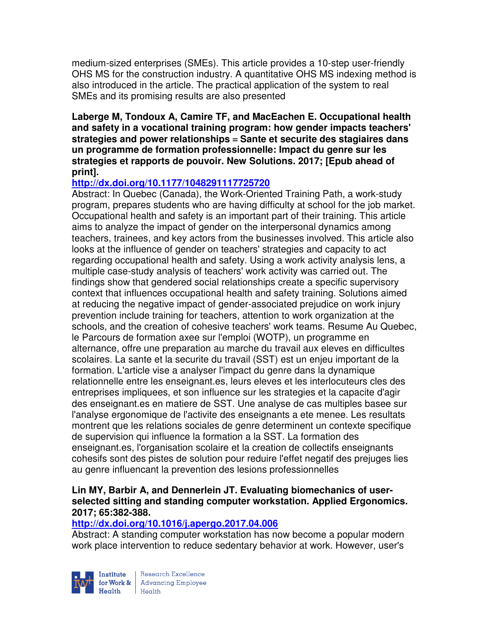medium-sized enterprises (SMEs). This article provides a 10-step user-friendly OHS MS for the construction industry. A quantitative OHS MS indexing method is also introduced in the article. The practical application of the system to real SMEs and its promising results are also presented

**Laberge M, Tondoux A, Camire TF, and MacEachen E. Occupational health and safety in a vocational training program: how gender impacts teachers' strategies and power relationships = Sante et securite des stagiaires dans un programme de formation professionnelle: Impact du genre sur les strategies et rapports de pouvoir. New Solutions. 2017; [Epub ahead of print].** 

## **http://dx.doi.org/10.1177/1048291117725720**

Abstract: In Quebec (Canada), the Work-Oriented Training Path, a work-study program, prepares students who are having difficulty at school for the job market. Occupational health and safety is an important part of their training. This article aims to analyze the impact of gender on the interpersonal dynamics among teachers, trainees, and key actors from the businesses involved. This article also looks at the influence of gender on teachers' strategies and capacity to act regarding occupational health and safety. Using a work activity analysis lens, a multiple case-study analysis of teachers' work activity was carried out. The findings show that gendered social relationships create a specific supervisory context that influences occupational health and safety training. Solutions aimed at reducing the negative impact of gender-associated prejudice on work injury prevention include training for teachers, attention to work organization at the schools, and the creation of cohesive teachers' work teams. Resume Au Quebec, le Parcours de formation axee sur l'emploi (WOTP), un programme en alternance, offre une preparation au marche du travail aux eleves en difficultes scolaires. La sante et la securite du travail (SST) est un enjeu important de la formation. L'article vise a analyser l'impact du genre dans la dynamique relationnelle entre les enseignant.es, leurs eleves et les interlocuteurs cles des entreprises impliquees, et son influence sur les strategies et la capacite d'agir des enseignant.es en matiere de SST. Une analyse de cas multiples basee sur l'analyse ergonomique de l'activite des enseignants a ete menee. Les resultats montrent que les relations sociales de genre determinent un contexte specifique de supervision qui influence la formation a la SST. La formation des enseignant.es, l'organisation scolaire et la creation de collectifs enseignants cohesifs sont des pistes de solution pour reduire l'effet negatif des prejuges lies au genre influencant la prevention des lesions professionnelles

### **Lin MY, Barbir A, and Dennerlein JT. Evaluating biomechanics of userselected sitting and standing computer workstation. Applied Ergonomics. 2017; 65:382-388.**

## **http://dx.doi.org/10.1016/j.apergo.2017.04.006**

Abstract: A standing computer workstation has now become a popular modern work place intervention to reduce sedentary behavior at work. However, user's

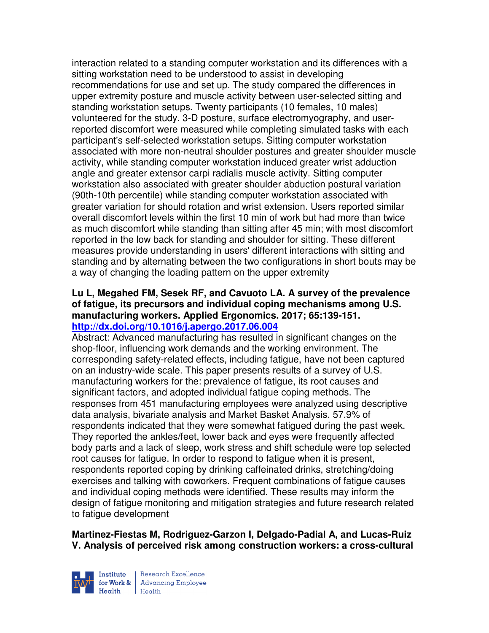interaction related to a standing computer workstation and its differences with a sitting workstation need to be understood to assist in developing recommendations for use and set up. The study compared the differences in upper extremity posture and muscle activity between user-selected sitting and standing workstation setups. Twenty participants (10 females, 10 males) volunteered for the study. 3-D posture, surface electromyography, and userreported discomfort were measured while completing simulated tasks with each participant's self-selected workstation setups. Sitting computer workstation associated with more non-neutral shoulder postures and greater shoulder muscle activity, while standing computer workstation induced greater wrist adduction angle and greater extensor carpi radialis muscle activity. Sitting computer workstation also associated with greater shoulder abduction postural variation (90th-10th percentile) while standing computer workstation associated with greater variation for should rotation and wrist extension. Users reported similar overall discomfort levels within the first 10 min of work but had more than twice as much discomfort while standing than sitting after 45 min; with most discomfort reported in the low back for standing and shoulder for sitting. These different measures provide understanding in users' different interactions with sitting and standing and by alternating between the two configurations in short bouts may be a way of changing the loading pattern on the upper extremity

#### **Lu L, Megahed FM, Sesek RF, and Cavuoto LA. A survey of the prevalence of fatigue, its precursors and individual coping mechanisms among U.S. manufacturing workers. Applied Ergonomics. 2017; 65:139-151. http://dx.doi.org/10.1016/j.apergo.2017.06.004**

Abstract: Advanced manufacturing has resulted in significant changes on the shop-floor, influencing work demands and the working environment. The corresponding safety-related effects, including fatigue, have not been captured on an industry-wide scale. This paper presents results of a survey of U.S. manufacturing workers for the: prevalence of fatigue, its root causes and significant factors, and adopted individual fatigue coping methods. The responses from 451 manufacturing employees were analyzed using descriptive data analysis, bivariate analysis and Market Basket Analysis. 57.9% of respondents indicated that they were somewhat fatigued during the past week. They reported the ankles/feet, lower back and eyes were frequently affected body parts and a lack of sleep, work stress and shift schedule were top selected root causes for fatigue. In order to respond to fatigue when it is present, respondents reported coping by drinking caffeinated drinks, stretching/doing exercises and talking with coworkers. Frequent combinations of fatigue causes and individual coping methods were identified. These results may inform the design of fatigue monitoring and mitigation strategies and future research related to fatigue development

**Martinez-Fiestas M, Rodriguez-Garzon I, Delgado-Padial A, and Lucas-Ruiz V. Analysis of perceived risk among construction workers: a cross-cultural** 



Research Excellence  $Heath$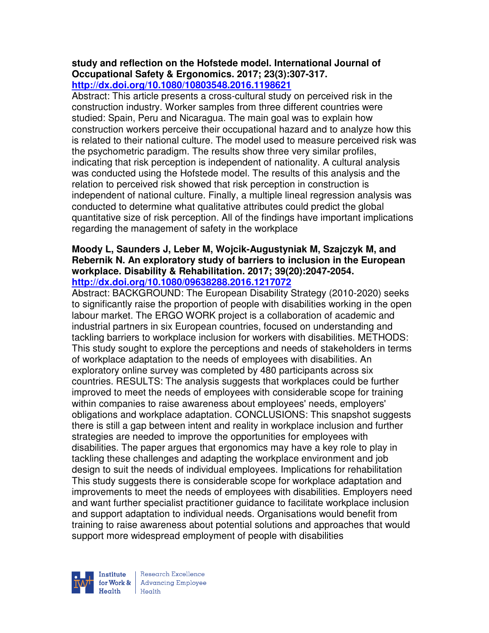# **study and reflection on the Hofstede model. International Journal of Occupational Safety & Ergonomics. 2017; 23(3):307-317.**

**http://dx.doi.org/10.1080/10803548.2016.1198621** 

Abstract: This article presents a cross-cultural study on perceived risk in the construction industry. Worker samples from three different countries were studied: Spain, Peru and Nicaragua. The main goal was to explain how construction workers perceive their occupational hazard and to analyze how this is related to their national culture. The model used to measure perceived risk was the psychometric paradigm. The results show three very similar profiles, indicating that risk perception is independent of nationality. A cultural analysis was conducted using the Hofstede model. The results of this analysis and the relation to perceived risk showed that risk perception in construction is independent of national culture. Finally, a multiple lineal regression analysis was conducted to determine what qualitative attributes could predict the global quantitative size of risk perception. All of the findings have important implications regarding the management of safety in the workplace

### **Moody L, Saunders J, Leber M, Wojcik-Augustyniak M, Szajczyk M, and Rebernik N. An exploratory study of barriers to inclusion in the European workplace. Disability & Rehabilitation. 2017; 39(20):2047-2054. http://dx.doi.org/10.1080/09638288.2016.1217072**

Abstract: BACKGROUND: The European Disability Strategy (2010-2020) seeks to significantly raise the proportion of people with disabilities working in the open labour market. The ERGO WORK project is a collaboration of academic and industrial partners in six European countries, focused on understanding and tackling barriers to workplace inclusion for workers with disabilities. METHODS: This study sought to explore the perceptions and needs of stakeholders in terms of workplace adaptation to the needs of employees with disabilities. An exploratory online survey was completed by 480 participants across six countries. RESULTS: The analysis suggests that workplaces could be further improved to meet the needs of employees with considerable scope for training within companies to raise awareness about employees' needs, employers' obligations and workplace adaptation. CONCLUSIONS: This snapshot suggests there is still a gap between intent and reality in workplace inclusion and further strategies are needed to improve the opportunities for employees with disabilities. The paper argues that ergonomics may have a key role to play in tackling these challenges and adapting the workplace environment and job design to suit the needs of individual employees. Implications for rehabilitation This study suggests there is considerable scope for workplace adaptation and improvements to meet the needs of employees with disabilities. Employers need and want further specialist practitioner guidance to facilitate workplace inclusion and support adaptation to individual needs. Organisations would benefit from training to raise awareness about potential solutions and approaches that would support more widespread employment of people with disabilities

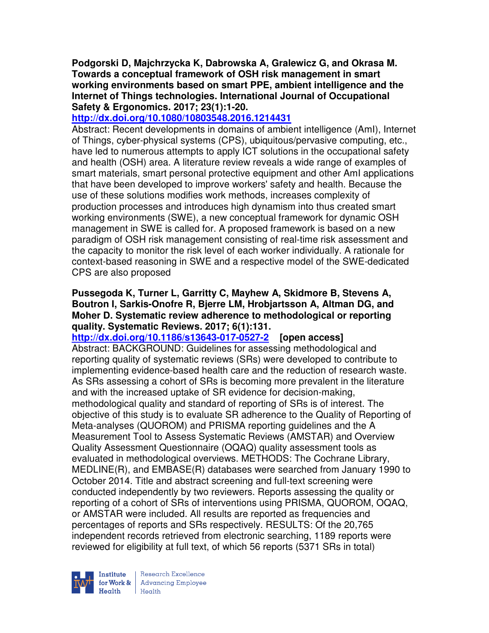**Podgorski D, Majchrzycka K, Dabrowska A, Gralewicz G, and Okrasa M. Towards a conceptual framework of OSH risk management in smart working environments based on smart PPE, ambient intelligence and the Internet of Things technologies. International Journal of Occupational Safety & Ergonomics. 2017; 23(1):1-20.** 

**http://dx.doi.org/10.1080/10803548.2016.1214431** 

Abstract: Recent developments in domains of ambient intelligence (AmI), Internet of Things, cyber-physical systems (CPS), ubiquitous/pervasive computing, etc., have led to numerous attempts to apply ICT solutions in the occupational safety and health (OSH) area. A literature review reveals a wide range of examples of smart materials, smart personal protective equipment and other AmI applications that have been developed to improve workers' safety and health. Because the use of these solutions modifies work methods, increases complexity of production processes and introduces high dynamism into thus created smart working environments (SWE), a new conceptual framework for dynamic OSH management in SWE is called for. A proposed framework is based on a new paradigm of OSH risk management consisting of real-time risk assessment and the capacity to monitor the risk level of each worker individually. A rationale for context-based reasoning in SWE and a respective model of the SWE-dedicated CPS are also proposed

### **Pussegoda K, Turner L, Garritty C, Mayhew A, Skidmore B, Stevens A, Boutron I, Sarkis-Onofre R, Bjerre LM, Hrobjartsson A, Altman DG, and Moher D. Systematic review adherence to methodological or reporting quality. Systematic Reviews. 2017; 6(1):131.**

**http://dx.doi.org/10.1186/s13643-017-0527-2 [open access]** Abstract: BACKGROUND: Guidelines for assessing methodological and reporting quality of systematic reviews (SRs) were developed to contribute to implementing evidence-based health care and the reduction of research waste. As SRs assessing a cohort of SRs is becoming more prevalent in the literature and with the increased uptake of SR evidence for decision-making, methodological quality and standard of reporting of SRs is of interest. The objective of this study is to evaluate SR adherence to the Quality of Reporting of Meta-analyses (QUOROM) and PRISMA reporting guidelines and the A Measurement Tool to Assess Systematic Reviews (AMSTAR) and Overview Quality Assessment Questionnaire (OQAQ) quality assessment tools as evaluated in methodological overviews. METHODS: The Cochrane Library, MEDLINE(R), and EMBASE(R) databases were searched from January 1990 to October 2014. Title and abstract screening and full-text screening were conducted independently by two reviewers. Reports assessing the quality or reporting of a cohort of SRs of interventions using PRISMA, QUOROM, OQAQ, or AMSTAR were included. All results are reported as frequencies and percentages of reports and SRs respectively. RESULTS: Of the 20,765 independent records retrieved from electronic searching, 1189 reports were reviewed for eligibility at full text, of which 56 reports (5371 SRs in total)

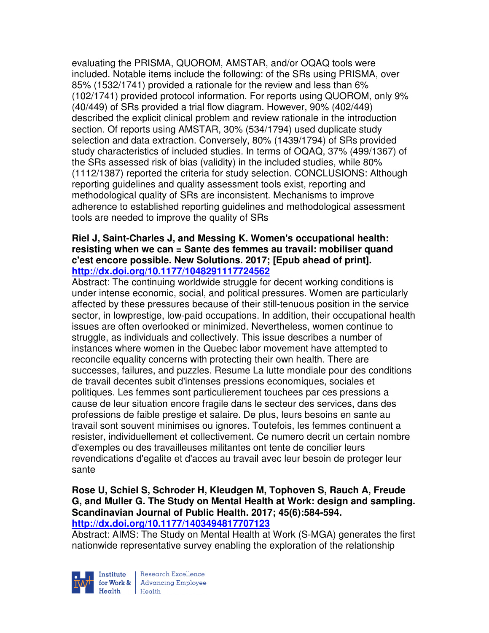evaluating the PRISMA, QUOROM, AMSTAR, and/or OQAQ tools were included. Notable items include the following: of the SRs using PRISMA, over 85% (1532/1741) provided a rationale for the review and less than 6% (102/1741) provided protocol information. For reports using QUOROM, only 9% (40/449) of SRs provided a trial flow diagram. However, 90% (402/449) described the explicit clinical problem and review rationale in the introduction section. Of reports using AMSTAR, 30% (534/1794) used duplicate study selection and data extraction. Conversely, 80% (1439/1794) of SRs provided study characteristics of included studies. In terms of OQAQ, 37% (499/1367) of the SRs assessed risk of bias (validity) in the included studies, while 80% (1112/1387) reported the criteria for study selection. CONCLUSIONS: Although reporting guidelines and quality assessment tools exist, reporting and methodological quality of SRs are inconsistent. Mechanisms to improve adherence to established reporting guidelines and methodological assessment tools are needed to improve the quality of SRs

#### **Riel J, Saint-Charles J, and Messing K. Women's occupational health: resisting when we can = Sante des femmes au travail: mobiliser quand c'est encore possible. New Solutions. 2017; [Epub ahead of print]. http://dx.doi.org/10.1177/1048291117724562**

Abstract: The continuing worldwide struggle for decent working conditions is under intense economic, social, and political pressures. Women are particularly affected by these pressures because of their still-tenuous position in the service sector, in lowprestige, low-paid occupations. In addition, their occupational health issues are often overlooked or minimized. Nevertheless, women continue to struggle, as individuals and collectively. This issue describes a number of instances where women in the Quebec labor movement have attempted to reconcile equality concerns with protecting their own health. There are successes, failures, and puzzles. Resume La lutte mondiale pour des conditions de travail decentes subit d'intenses pressions economiques, sociales et politiques. Les femmes sont particulierement touchees par ces pressions a cause de leur situation encore fragile dans le secteur des services, dans des professions de faible prestige et salaire. De plus, leurs besoins en sante au travail sont souvent minimises ou ignores. Toutefois, les femmes continuent a resister, individuellement et collectivement. Ce numero decrit un certain nombre d'exemples ou des travailleuses militantes ont tente de concilier leurs revendications d'egalite et d'acces au travail avec leur besoin de proteger leur sante

#### **Rose U, Schiel S, Schroder H, Kleudgen M, Tophoven S, Rauch A, Freude G, and Muller G. The Study on Mental Health at Work: design and sampling. Scandinavian Journal of Public Health. 2017; 45(6):584-594. http://dx.doi.org/10.1177/1403494817707123**

Abstract: AIMS: The Study on Mental Health at Work (S-MGA) generates the first nationwide representative survey enabling the exploration of the relationship

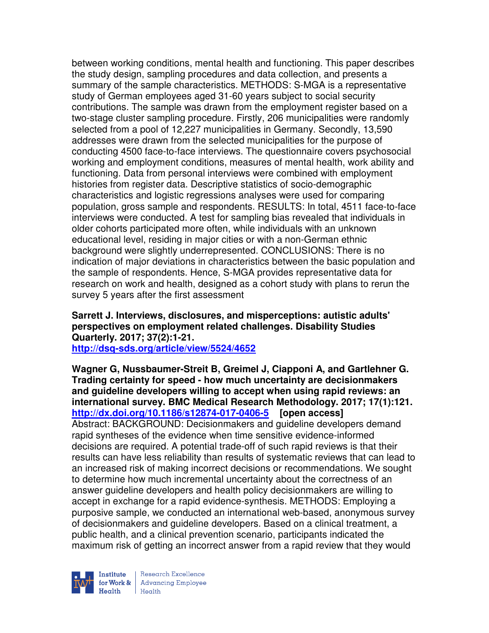between working conditions, mental health and functioning. This paper describes the study design, sampling procedures and data collection, and presents a summary of the sample characteristics. METHODS: S-MGA is a representative study of German employees aged 31-60 years subject to social security contributions. The sample was drawn from the employment register based on a two-stage cluster sampling procedure. Firstly, 206 municipalities were randomly selected from a pool of 12,227 municipalities in Germany. Secondly, 13,590 addresses were drawn from the selected municipalities for the purpose of conducting 4500 face-to-face interviews. The questionnaire covers psychosocial working and employment conditions, measures of mental health, work ability and functioning. Data from personal interviews were combined with employment histories from register data. Descriptive statistics of socio-demographic characteristics and logistic regressions analyses were used for comparing population, gross sample and respondents. RESULTS: In total, 4511 face-to-face interviews were conducted. A test for sampling bias revealed that individuals in older cohorts participated more often, while individuals with an unknown educational level, residing in major cities or with a non-German ethnic background were slightly underrepresented. CONCLUSIONS: There is no indication of major deviations in characteristics between the basic population and the sample of respondents. Hence, S-MGA provides representative data for research on work and health, designed as a cohort study with plans to rerun the survey 5 years after the first assessment

**Sarrett J. Interviews, disclosures, and misperceptions: autistic adults' perspectives on employment related challenges. Disability Studies Quarterly. 2017; 37(2):1-21.** 

**http://dsq-sds.org/article/view/5524/4652** 

**Wagner G, Nussbaumer-Streit B, Greimel J, Ciapponi A, and Gartlehner G. Trading certainty for speed - how much uncertainty are decisionmakers and guideline developers willing to accept when using rapid reviews: an international survey. BMC Medical Research Methodology. 2017; 17(1):121. http://dx.doi.org/10.1186/s12874-017-0406-5 [open access]** Abstract: BACKGROUND: Decisionmakers and guideline developers demand rapid syntheses of the evidence when time sensitive evidence-informed decisions are required. A potential trade-off of such rapid reviews is that their results can have less reliability than results of systematic reviews that can lead to an increased risk of making incorrect decisions or recommendations. We sought to determine how much incremental uncertainty about the correctness of an answer guideline developers and health policy decisionmakers are willing to accept in exchange for a rapid evidence-synthesis. METHODS: Employing a purposive sample, we conducted an international web-based, anonymous survey of decisionmakers and guideline developers. Based on a clinical treatment, a public health, and a clinical prevention scenario, participants indicated the maximum risk of getting an incorrect answer from a rapid review that they would